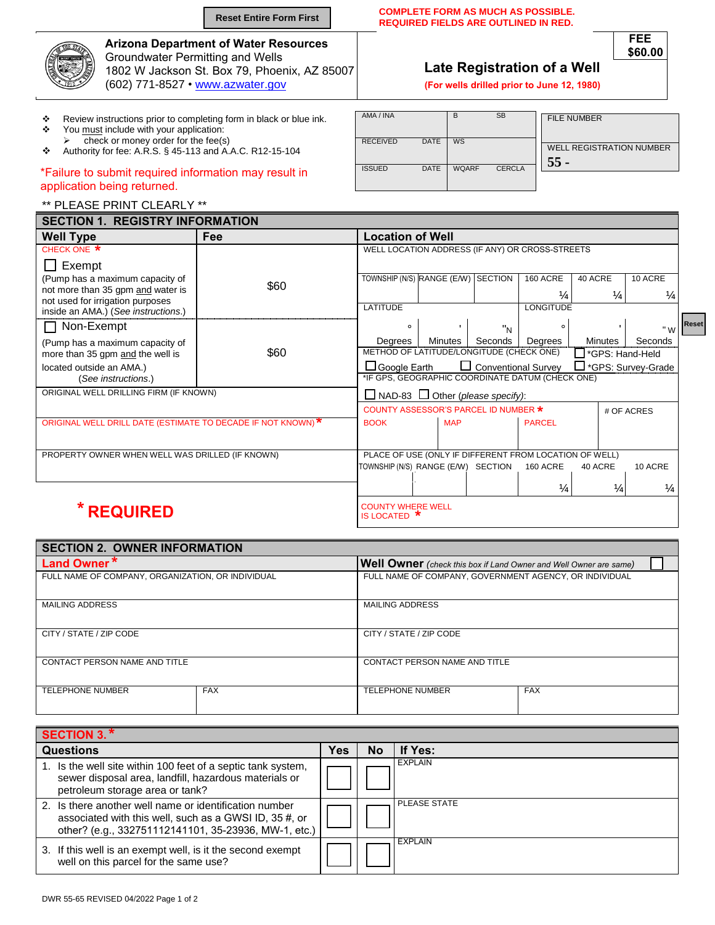|        |                                                                                | <b>Reset Entire Form First</b>                                                               |                              | <b>COMPLETE FORM AS MUCH AS POSSIBLE.</b><br><b>REQUIRED FIELDS ARE OUTLINED IN RED.</b>    |           |           |                                                       |  |  |  |  |
|--------|--------------------------------------------------------------------------------|----------------------------------------------------------------------------------------------|------------------------------|---------------------------------------------------------------------------------------------|-----------|-----------|-------------------------------------------------------|--|--|--|--|
|        | <b>Groundwater Permitting and Wells</b><br>(602) 771-8527 • www.azwater.gov    | <b>Arizona Department of Water Resources</b><br>1802 W Jackson St. Box 79, Phoenix, AZ 85007 |                              | FEE<br>\$60,00<br>Late Registration of a Well<br>(For wells drilled prior to June 12, 1980) |           |           |                                                       |  |  |  |  |
| ❖<br>❖ | You must include with your application:<br>check or money order for the fee(s) | Review instructions prior to completing form in black or blue ink.                           | AMA / INA<br><b>RECEIVED</b> | <b>DATE</b>                                                                                 | <b>WS</b> | <b>SB</b> | <b>FILE NUMBER</b><br><b>WELL REGISTRATION NUMBER</b> |  |  |  |  |
| ❖      | Authority for fee: A.R.S. § 45-113 and A.A.C. R12-15-104                       |                                                                                              | ICCIITD                      | <b>DATE</b>                                                                                 | 111010F   | CFDCIA    | 55                                                    |  |  |  |  |

## \*Failure to submit required information may result in application being returned.

## \*\* PLEASE PRINT CLEARLY \*\*

| <b>SECTION 1. REGISTRY INFORMATION</b>                                  |      |                                                                    |            |                |                  |                |                     |  |  |  |  |
|-------------------------------------------------------------------------|------|--------------------------------------------------------------------|------------|----------------|------------------|----------------|---------------------|--|--|--|--|
| <b>Well Type</b>                                                        | Fee  | <b>Location of Well</b>                                            |            |                |                  |                |                     |  |  |  |  |
| CHECK ONE *                                                             |      | WELL LOCATION ADDRESS (IF ANY) OR CROSS-STREETS                    |            |                |                  |                |                     |  |  |  |  |
| $\Box$ Exempt                                                           |      |                                                                    |            |                |                  |                |                     |  |  |  |  |
| (Pump has a maximum capacity of                                         |      | TOWNSHIP (N/S) RANGE (E/W) SECTION                                 |            |                | <b>160 ACRE</b>  | 40 ACRE        | 10 ACRE             |  |  |  |  |
| not more than 35 gpm and water is                                       | \$60 |                                                                    |            |                | $\frac{1}{4}$    | $\frac{1}{4}$  | ¼                   |  |  |  |  |
| not used for irrigation purposes<br>inside an AMA.) (See instructions.) |      | LATITUDE                                                           |            |                | <b>LONGITUDE</b> |                |                     |  |  |  |  |
| $\Box$ Non-Exempt                                                       |      | $\circ$                                                            |            | "N             | $\circ$          |                | <b>Reset</b><br>" W |  |  |  |  |
| (Pump has a maximum capacity of                                         |      | Degrees                                                            | Minutes    | Seconds        | Degrees          | <b>Minutes</b> | Seconds             |  |  |  |  |
| more than 35 gpm and the well is                                        | \$60 | METHOD OF LATITUDE/LONGITUDE (CHECK ONE)                           |            |                |                  |                | *GPS: Hand-Held     |  |  |  |  |
| located outside an AMA.)                                                |      | Conventional Survey<br>$\Box$ Google Earth<br>□ *GPS: Survey-Grade |            |                |                  |                |                     |  |  |  |  |
| (See instructions.)                                                     |      | *IF GPS, GEOGRAPHIC COORDINATE DATUM (CHECK ONE)                   |            |                |                  |                |                     |  |  |  |  |
| ORIGINAL WELL DRILLING FIRM (IF KNOWN)                                  |      | $\Box$ NAD-83 $\Box$ Other (please specify):                       |            |                |                  |                |                     |  |  |  |  |
|                                                                         |      | COUNTY ASSESSOR'S PARCEL ID NUMBER *<br># OF ACRES                 |            |                |                  |                |                     |  |  |  |  |
| ORIGINAL WELL DRILL DATE (ESTIMATE TO DECADE IF NOT KNOWN)*             |      | <b>BOOK</b>                                                        | <b>MAP</b> |                | <b>PARCEL</b>    |                |                     |  |  |  |  |
|                                                                         |      |                                                                    |            |                |                  |                |                     |  |  |  |  |
| PROPERTY OWNER WHEN WELL WAS DRILLED (IF KNOWN)                         |      | PLACE OF USE (ONLY IF DIFFERENT FROM LOCATION OF WELL)             |            |                |                  |                |                     |  |  |  |  |
|                                                                         |      | TOWNSHIP (N/S) RANGE (E/W)                                         |            | <b>SECTION</b> | <b>160 ACRE</b>  | 40 ACRE        | 10 ACRE             |  |  |  |  |
|                                                                         |      |                                                                    |            |                |                  |                |                     |  |  |  |  |
|                                                                         |      |                                                                    |            |                | $\frac{1}{4}$    | $\frac{1}{4}$  | $\frac{1}{4}$       |  |  |  |  |
| <b>REQUIRED</b>                                                         |      | <b>COUNTY WHERE WELL</b>                                           |            |                |                  |                |                     |  |  |  |  |
|                                                                         |      | IS LOCATED *                                                       |            |                |                  |                |                     |  |  |  |  |

ISSUED DATE WQARF CERCLA

| <b>SECTION 2. OWNER INFORMATION</b>               |                                                                   |                                                        |            |  |  |  |  |  |  |  |
|---------------------------------------------------|-------------------------------------------------------------------|--------------------------------------------------------|------------|--|--|--|--|--|--|--|
| Land Owner*                                       | Well Owner (check this box if Land Owner and Well Owner are same) |                                                        |            |  |  |  |  |  |  |  |
| FULL NAME OF COMPANY, ORGANIZATION, OR INDIVIDUAL |                                                                   | FULL NAME OF COMPANY, GOVERNMENT AGENCY, OR INDIVIDUAL |            |  |  |  |  |  |  |  |
| <b>MAILING ADDRESS</b>                            |                                                                   | <b>MAILING ADDRESS</b>                                 |            |  |  |  |  |  |  |  |
| CITY / STATE / ZIP CODE                           |                                                                   | CITY / STATE / ZIP CODE                                |            |  |  |  |  |  |  |  |
| CONTACT PERSON NAME AND TITLE                     |                                                                   | CONTACT PERSON NAME AND TITLE                          |            |  |  |  |  |  |  |  |
| <b>TELEPHONE NUMBER</b>                           | <b>FAX</b>                                                        | <b>TELEPHONE NUMBER</b>                                | <b>FAX</b> |  |  |  |  |  |  |  |

| <b>SECTION 3.*</b>                                                                                                                                                       |            |     |                     |
|--------------------------------------------------------------------------------------------------------------------------------------------------------------------------|------------|-----|---------------------|
| <b>Questions</b>                                                                                                                                                         | <b>Yes</b> | No. | If Yes:             |
| 1. Is the well site within 100 feet of a septic tank system,<br>sewer disposal area, landfill, hazardous materials or<br>petroleum storage area or tank?                 |            |     | <b>EXPLAIN</b>      |
| 2. Is there another well name or identification number<br>associated with this well, such as a GWSI ID, 35 #, or<br>other? (e.g., 332751112141101, 35-23936, MW-1, etc.) |            |     | <b>PLEASE STATE</b> |
| 3. If this well is an exempt well, is it the second exempt<br>well on this parcel for the same use?                                                                      |            |     | <b>EXPLAIN</b>      |